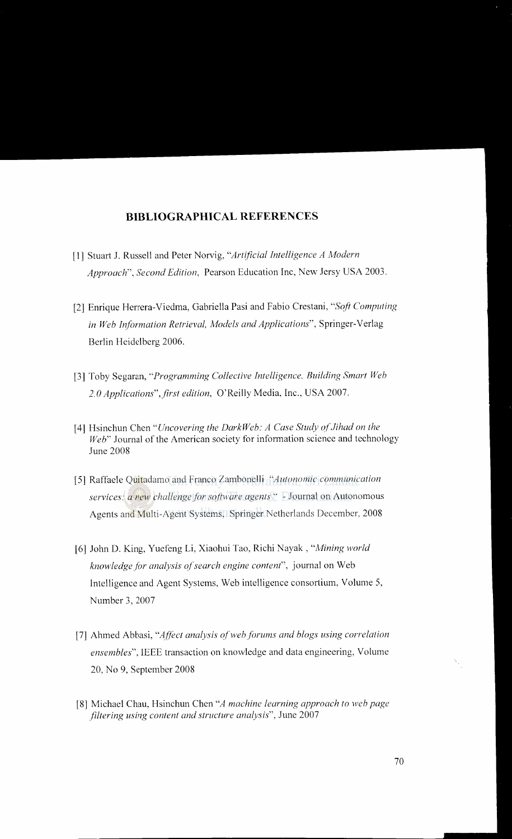## **BIBLIOGRAPHICAL REFERENCES**

- [1] Stuart J. Russell and Peter Norvig, "Art~ficial *Intelligence A Modern Approach", Second Edition,* Pearson Education Inc, New Jersy USA 2003.
- [2] Enrique Herrera-Viedma, Gabriella Pasi and Fabio Crestani, "Soft Computing *in Web Information Retrieval, Models and Applications",* Springer-Verlag Berlin Heidelberg 2006.
- [3] Toby Segaran, *"Programming Collective Intelligence, Building Smart Web 2. 0 Applications" ,first edition,* O'Reilly Media, Inc., USA 2007.
- [4] Hsinchun Chen *"Uncovering the DarkWeb: A Case Study of.Jihad on the Web"* Journal of the American society for information science and technology June 2008
- [5] Raffaele Quitadamo and Franco Zambonelli *"Autonomic communication services: a new challenge for software agents"* -Journal on Autonomous Agents and Multi-Agent Systems, Springer Netherlands December, 2008
- [6] John D. King, Yuefeng Li, Xiaohui Tao, Richi Nayak, *"Mining world knowledge for analysis of search engine content*", journal on Web Intelligence and Agent Systems, Web intelligence consortium, Volume 5, Number 3, 2007
- [7] Ahmed Abbasi, *"Affect analysis of web forums and blogs using correlation ensembles",* IEEE transaction on knowledge and data engineering, Volume 20, No 9, September 2008
- [8] Michael Chau, Hsinchun Chen "A machine learning approach to web page *.filtering using content and structure analysis",* June 2007